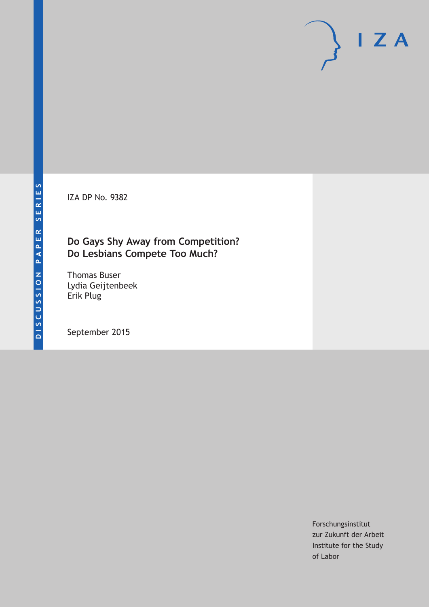IZA DP No. 9382

# **Do Gays Shy Away from Competition? Do Lesbians Compete Too Much?**

Thomas Buser Lydia Geijtenbeek Erik Plug

September 2015

Forschungsinstitut zur Zukunft der Arbeit Institute for the Study of Labor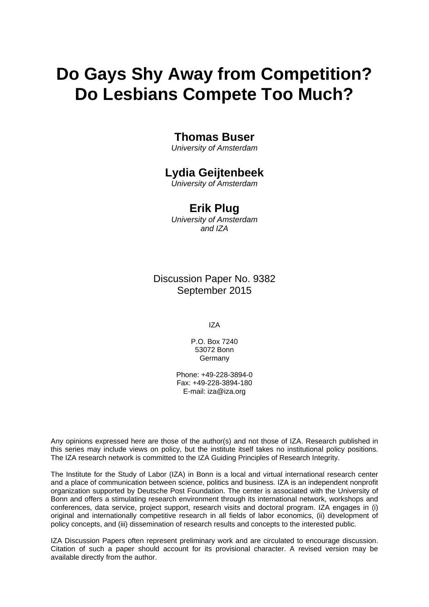# **Do Gays Shy Away from Competition? Do Lesbians Compete Too Much?**

### **Thomas Buser**

*University of Amsterdam* 

# **Lydia Geijtenbeek**

*University of Amsterdam* 

### **Erik Plug**

*University of Amsterdam and IZA*

Discussion Paper No. 9382 September 2015

IZA

P.O. Box 7240 53072 Bonn **Germany** 

Phone: +49-228-3894-0 Fax: +49-228-3894-180 E-mail: iza@iza.org

Any opinions expressed here are those of the author(s) and not those of IZA. Research published in this series may include views on policy, but the institute itself takes no institutional policy positions. The IZA research network is committed to the IZA Guiding Principles of Research Integrity.

The Institute for the Study of Labor (IZA) in Bonn is a local and virtual international research center and a place of communication between science, politics and business. IZA is an independent nonprofit organization supported by Deutsche Post Foundation. The center is associated with the University of Bonn and offers a stimulating research environment through its international network, workshops and conferences, data service, project support, research visits and doctoral program. IZA engages in (i) original and internationally competitive research in all fields of labor economics, (ii) development of policy concepts, and (iii) dissemination of research results and concepts to the interested public.

IZA Discussion Papers often represent preliminary work and are circulated to encourage discussion. Citation of such a paper should account for its provisional character. A revised version may be available directly from the author.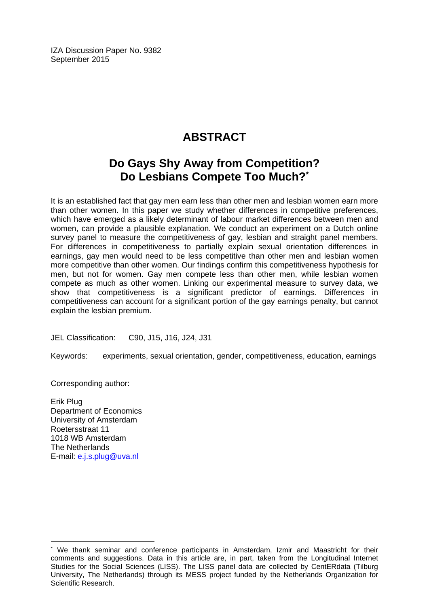IZA Discussion Paper No. 9382 September 2015

# **ABSTRACT**

# **Do Gays Shy Away from Competition? Do Lesbians Compete Too Much?\***

It is an established fact that gay men earn less than other men and lesbian women earn more than other women. In this paper we study whether differences in competitive preferences, which have emerged as a likely determinant of labour market differences between men and women, can provide a plausible explanation. We conduct an experiment on a Dutch online survey panel to measure the competitiveness of gay, lesbian and straight panel members. For differences in competitiveness to partially explain sexual orientation differences in earnings, gay men would need to be less competitive than other men and lesbian women more competitive than other women. Our findings confirm this competitiveness hypothesis for men, but not for women. Gay men compete less than other men, while lesbian women compete as much as other women. Linking our experimental measure to survey data, we show that competitiveness is a significant predictor of earnings. Differences in competitiveness can account for a significant portion of the gay earnings penalty, but cannot explain the lesbian premium.

JEL Classification: C90, J15, J16, J24, J31

Keywords: experiments, sexual orientation, gender, competitiveness, education, earnings

Corresponding author:

Erik Plug Department of Economics University of Amsterdam Roetersstraat 11 1018 WB Amsterdam The Netherlands E-mail: e.j.s.plug@uva.nl

 $\overline{a}$ 

<sup>\*</sup> We thank seminar and conference participants in Amsterdam, Izmir and Maastricht for their comments and suggestions. Data in this article are, in part, taken from the Longitudinal Internet Studies for the Social Sciences (LISS). The LISS panel data are collected by CentERdata (Tilburg University, The Netherlands) through its MESS project funded by the Netherlands Organization for Scientific Research.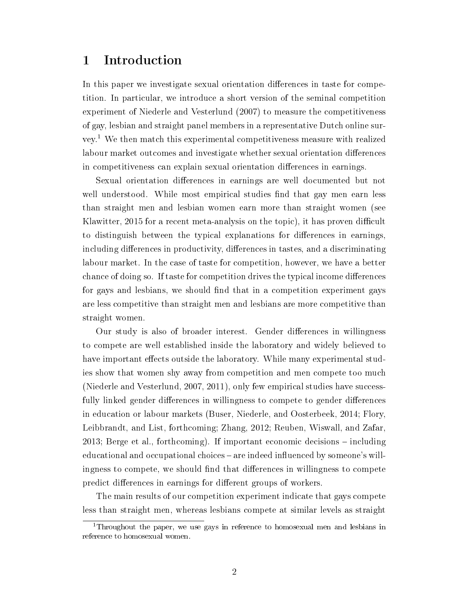### 1 Introduction

In this paper we investigate sexual orientation differences in taste for competition. In particular, we introduce a short version of the seminal competition experiment of Niederle and Vesterlund (2007) to measure the competitiveness of gay, lesbian and straight panel members in a representative Dutch online survey.<sup>1</sup> We then match this experimental competitiveness measure with realized labour market outcomes and investigate whether sexual orientation differences in competitiveness can explain sexual orientation differences in earnings.

Sexual orientation differences in earnings are well documented but not well understood. While most empirical studies find that gay men earn less than straight men and lesbian women earn more than straight women (see Klawitter, 2015 for a recent meta-analysis on the topic), it has proven difficult to distinguish between the typical explanations for differences in earnings, including differences in productivity, differences in tastes, and a discriminating labour market. In the case of taste for competition, however, we have a better chance of doing so. If taste for competition drives the typical income differences for gays and lesbians, we should find that in a competition experiment gays are less competitive than straight men and lesbians are more competitive than straight women.

Our study is also of broader interest. Gender differences in willingness to compete are well established inside the laboratory and widely believed to have important effects outside the laboratory. While many experimental studies show that women shy away from competition and men compete too much (Niederle and Vesterlund, 2007, 2011), only few empirical studies have successfully linked gender differences in willingness to compete to gender differences in education or labour markets (Buser, Niederle, and Oosterbeek, 2014; Flory, Leibbrandt, and List, forthcoming; Zhang, 2012; Reuben, Wiswall, and Zafar, 2013; Berge et al., forthcoming). If important economic decisions  $-$  including educational and occupational choices – are indeed influenced by someone's willingness to compete, we should find that differences in willingness to compete predict differences in earnings for different groups of workers.

The main results of our competition experiment indicate that gays compete less than straight men, whereas lesbians compete at similar levels as straight

<sup>&</sup>lt;sup>1</sup>Throughout the paper, we use gays in reference to homosexual men and lesbians in reference to homosexual women.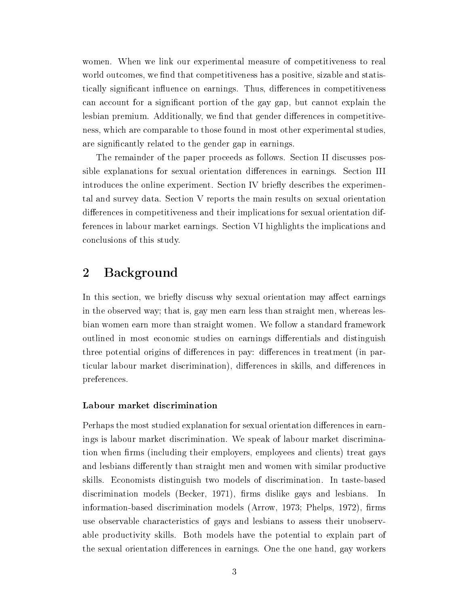women. When we link our experimental measure of competitiveness to real world outcomes, we find that competitiveness has a positive, sizable and statistically significant influence on earnings. Thus, differences in competitiveness can account for a significant portion of the gay gap, but cannot explain the lesbian premium. Additionally, we find that gender differences in competitiveness, which are comparable to those found in most other experimental studies, are significantly related to the gender gap in earnings.

The remainder of the paper proceeds as follows. Section II discusses possible explanations for sexual orientation differences in earnings. Section III introduces the online experiment. Section IV briefly describes the experimental and survey data. Section V reports the main results on sexual orientation differences in competitiveness and their implications for sexual orientation differences in labour market earnings. Section VI highlights the implications and conclusions of this study.

## 2 Background

In this section, we briefly discuss why sexual orientation may affect earnings in the observed way; that is, gay men earn less than straight men, whereas lesbian women earn more than straight women. We follow a standard framework outlined in most economic studies on earnings differentials and distinguish three potential origins of differences in pay: differences in treatment (in particular labour market discrimination), differences in skills, and differences in preferences.

#### Labour market discrimination

Perhaps the most studied explanation for sexual orientation differences in earnings is labour market discrimination. We speak of labour market discrimination when firms (including their employers, employees and clients) treat gays and lesbians differently than straight men and women with similar productive skills. Economists distinguish two models of discrimination. In taste-based discrimination models (Becker, 1971), firms dislike gays and lesbians. In information-based discrimination models (Arrow,  $1973$ ; Phelps,  $1972$ ), firms use observable characteristics of gays and lesbians to assess their unobservable productivity skills. Both models have the potential to explain part of the sexual orientation differences in earnings. One the one hand, gay workers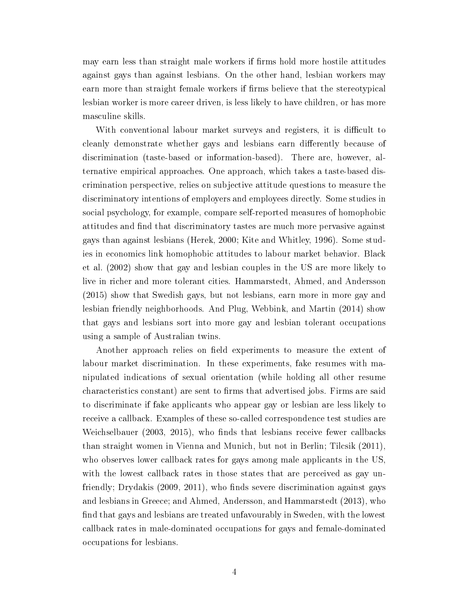may earn less than straight male workers if firms hold more hostile attitudes against gays than against lesbians. On the other hand, lesbian workers may earn more than straight female workers if firms believe that the stereotypical lesbian worker is more career driven, is less likely to have children, or has more masculine skills.

With conventional labour market surveys and registers, it is difficult to cleanly demonstrate whether gays and lesbians earn differently because of discrimination (taste-based or information-based). There are, however, alternative empirical approaches. One approach, which takes a taste-based discrimination perspective, relies on subjective attitude questions to measure the discriminatory intentions of employers and employees directly. Some studies in social psychology, for example, compare self-reported measures of homophobic attitudes and find that discriminatory tastes are much more pervasive against gays than against lesbians (Herek, 2000; Kite and Whitley, 1996). Some studies in economics link homophobic attitudes to labour market behavior. Black et al. (2002) show that gay and lesbian couples in the US are more likely to live in richer and more tolerant cities. Hammarstedt, Ahmed, and Andersson (2015) show that Swedish gays, but not lesbians, earn more in more gay and lesbian friendly neighborhoods. And Plug, Webbink, and Martin (2014) show that gays and lesbians sort into more gay and lesbian tolerant occupations using a sample of Australian twins.

Another approach relies on field experiments to measure the extent of labour market discrimination. In these experiments, fake resumes with manipulated indications of sexual orientation (while holding all other resume characteristics constant) are sent to firms that advertised jobs. Firms are said to discriminate if fake applicants who appear gay or lesbian are less likely to receive a callback. Examples of these so-called correspondence test studies are Weichselbauer  $(2003, 2015)$ , who finds that lesbians receive fewer callbacks than straight women in Vienna and Munich, but not in Berlin; Tilcsik (2011), who observes lower callback rates for gays among male applicants in the US, with the lowest callback rates in those states that are perceived as gay unfriendly; Drydakis  $(2009, 2011)$ , who finds severe discrimination against gays and lesbians in Greece; and Ahmed, Andersson, and Hammarstedt (2013), who find that gays and lesbians are treated unfavourably in Sweden, with the lowest callback rates in male-dominated occupations for gays and female-dominated occupations for lesbians.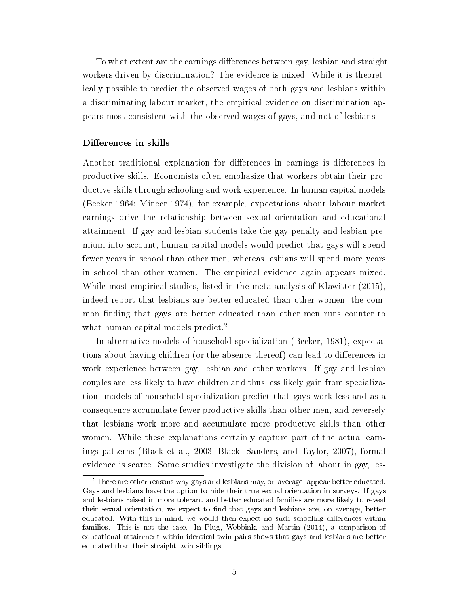To what extent are the earnings differences between gay, lesbian and straight workers driven by discrimination? The evidence is mixed. While it is theoretically possible to predict the observed wages of both gays and lesbians within a discriminating labour market, the empirical evidence on discrimination appears most consistent with the observed wages of gays, and not of lesbians.

#### Differences in skills

Another traditional explanation for differences in earnings is differences in productive skills. Economists often emphasize that workers obtain their productive skills through schooling and work experience. In human capital models (Becker 1964; Mincer 1974), for example, expectations about labour market earnings drive the relationship between sexual orientation and educational attainment. If gay and lesbian students take the gay penalty and lesbian premium into account, human capital models would predict that gays will spend fewer years in school than other men, whereas lesbians will spend more years in school than other women. The empirical evidence again appears mixed. While most empirical studies, listed in the meta-analysis of Klawitter (2015), indeed report that lesbians are better educated than other women, the common finding that gays are better educated than other men runs counter to what human capital models predict.<sup>2</sup>

In alternative models of household specialization (Becker, 1981), expectations about having children (or the absence thereof) can lead to differences in work experience between gay, lesbian and other workers. If gay and lesbian couples are less likely to have children and thus less likely gain from specialization, models of household specialization predict that gays work less and as a consequence accumulate fewer productive skills than other men, and reversely that lesbians work more and accumulate more productive skills than other women. While these explanations certainly capture part of the actual earnings patterns (Black et al., 2003; Black, Sanders, and Taylor, 2007), formal evidence is scarce. Some studies investigate the division of labour in gay, les-

<sup>2</sup>There are other reasons why gays and lesbians may, on average, appear better educated. Gays and lesbians have the option to hide their true sexual orientation in surveys. If gays and lesbians raised in more tolerant and better educated families are more likely to reveal their sexual orientation, we expect to find that gays and lesbians are, on average, better educated. With this in mind, we would then expect no such schooling differences within families. This is not the case. In Plug, Webbink, and Martin (2014), a comparison of educational attainment within identical twin pairs shows that gays and lesbians are better educated than their straight twin siblings.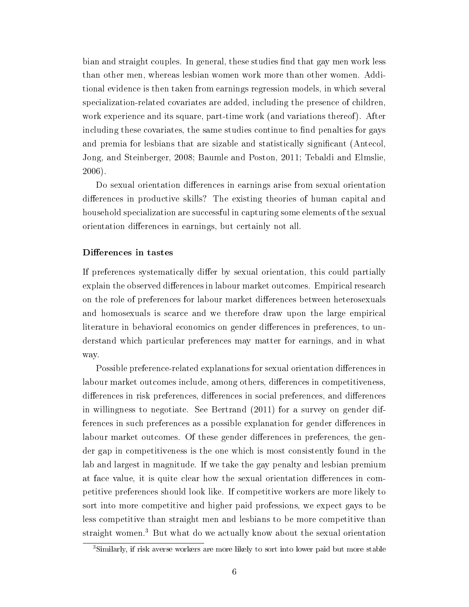bian and straight couples. In general, these studies find that gay men work less than other men, whereas lesbian women work more than other women. Additional evidence is then taken from earnings regression models, in which several specialization-related covariates are added, including the presence of children, work experience and its square, part-time work (and variations thereof). After including these covariates, the same studies continue to find penalties for gays and premia for lesbians that are sizable and statistically signicant (Antecol, Jong, and Steinberger, 2008; Baumle and Poston, 2011; Tebaldi and Elmslie, 2006).

Do sexual orientation differences in earnings arise from sexual orientation differences in productive skills? The existing theories of human capital and household specialization are successful in capturing some elements of the sexual orientation differences in earnings, but certainly not all.

#### Differences in tastes

If preferences systematically differ by sexual orientation, this could partially explain the observed differences in labour market outcomes. Empirical research on the role of preferences for labour market differences between heterosexuals and homosexuals is scarce and we therefore draw upon the large empirical literature in behavioral economics on gender differences in preferences, to understand which particular preferences may matter for earnings, and in what way.

Possible preference-related explanations for sexual orientation differences in labour market outcomes include, among others, differences in competitiveness, differences in risk preferences, differences in social preferences, and differences in willingness to negotiate. See Bertrand (2011) for a survey on gender differences in such preferences as a possible explanation for gender differences in labour market outcomes. Of these gender differences in preferences, the gender gap in competitiveness is the one which is most consistently found in the lab and largest in magnitude. If we take the gay penalty and lesbian premium at face value, it is quite clear how the sexual orientation differences in competitive preferences should look like. If competitive workers are more likely to sort into more competitive and higher paid professions, we expect gays to be less competitive than straight men and lesbians to be more competitive than straight women.<sup>3</sup> But what do we actually know about the sexual orientation

<sup>3</sup>Similarly, if risk averse workers are more likely to sort into lower paid but more stable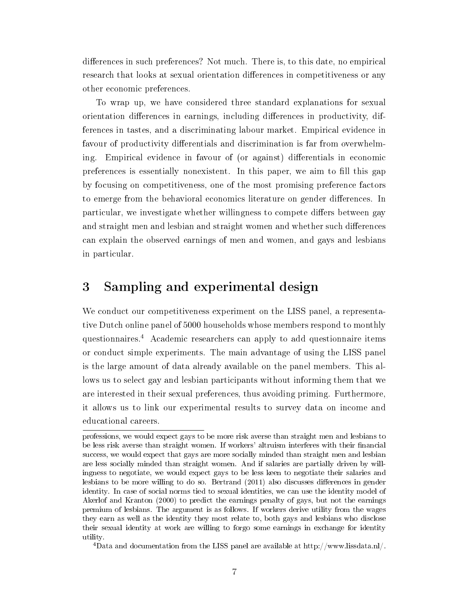differences in such preferences? Not much. There is, to this date, no empirical research that looks at sexual orientation differences in competitiveness or any other economic preferences.

To wrap up, we have considered three standard explanations for sexual orientation differences in earnings, including differences in productivity, differences in tastes, and a discriminating labour market. Empirical evidence in favour of productivity differentials and discrimination is far from overwhelming. Empirical evidence in favour of (or against) differentials in economic preferences is essentially nonexistent. In this paper, we aim to fill this gap by focusing on competitiveness, one of the most promising preference factors to emerge from the behavioral economics literature on gender differences. In particular, we investigate whether willingness to compete differs between gay and straight men and lesbian and straight women and whether such differences can explain the observed earnings of men and women, and gays and lesbians in particular.

# 3 Sampling and experimental design

We conduct our competitiveness experiment on the LISS panel, a representative Dutch online panel of 5000 households whose members respond to monthly questionnaires.<sup>4</sup> Academic researchers can apply to add questionnaire items or conduct simple experiments. The main advantage of using the LISS panel is the large amount of data already available on the panel members. This allows us to select gay and lesbian participants without informing them that we are interested in their sexual preferences, thus avoiding priming. Furthermore, it allows us to link our experimental results to survey data on income and educational careers.

<sup>4</sup>Data and documentation from the LISS panel are available at http://www.lissdata.nl/.

professions, we would expect gays to be more risk averse than straight men and lesbians to be less risk averse than straight women. If workers' altruism interferes with their financial success, we would expect that gays are more socially minded than straight men and lesbian are less socially minded than straight women. And if salaries are partially driven by willingness to negotiate, we would expect gays to be less keen to negotiate their salaries and lesbians to be more willing to do so. Bertrand (2011) also discusses differences in gender identity. In case of social norms tied to sexual identities, we can use the identity model of Akerlof and Kranton (2000) to predict the earnings penalty of gays, but not the earnings premium of lesbians. The argument is as follows. If workers derive utility from the wages they earn as well as the identity they most relate to, both gays and lesbians who disclose their sexual identity at work are willing to forgo some earnings in exchange for identity utility.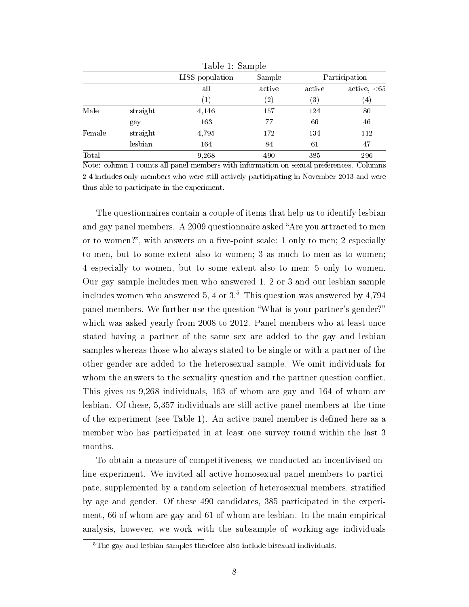|        |          | rapic r. pampic   |                   |                   |                  |
|--------|----------|-------------------|-------------------|-------------------|------------------|
|        |          | LISS population   | Sample            |                   | Participation    |
|        |          | all               | active            | active            | active, $< 65$   |
|        |          | $\left( 1\right)$ | $\left( 2\right)$ | $\left( 3\right)$ | $\left(4\right)$ |
| Male   | straight | 4,146             | 157               | 124               | 80               |
|        | gay      | 163               | 77                | 66                | 46               |
| Female | straight | 4,795             | 172               | 134               | 112              |
|        | lesbian  | 164               | 84                | 61                | 47               |
| Total  |          | 9,268             | 490               | 385               | 296              |

Table 1: Sample

Note: column 1 counts all panel members with information on sexual preferences. Columns 2-4 includes only members who were still actively participating in November 2013 and were thus able to participate in the experiment.

The questionnaires contain a couple of items that help us to identify lesbian and gay panel members. A 2009 questionnaire asked "Are you attracted to men or to women?", with answers on a five-point scale:  $1$  only to men;  $2$  especially to men, but to some extent also to women; 3 as much to men as to women; 4 especially to women, but to some extent also to men; 5 only to women. Our gay sample includes men who answered 1, 2 or 3 and our lesbian sample includes women who answered 5, 4 or  $3<sup>5</sup>$ . This question was answered by 4,794 panel members. We further use the question What is your partner's gender? which was asked yearly from 2008 to 2012. Panel members who at least once stated having a partner of the same sex are added to the gay and lesbian samples whereas those who always stated to be single or with a partner of the other gender are added to the heterosexual sample. We omit individuals for whom the answers to the sexuality question and the partner question conflict. This gives us 9,268 individuals, 163 of whom are gay and 164 of whom are lesbian. Of these, 5,357 individuals are still active panel members at the time of the experiment (see Table 1). An active panel member is defined here as a member who has participated in at least one survey round within the last 3 months.

To obtain a measure of competitiveness, we conducted an incentivised online experiment. We invited all active homosexual panel members to participate, supplemented by a random selection of heterosexual members, stratied by age and gender. Of these 490 candidates, 385 participated in the experiment, 66 of whom are gay and 61 of whom are lesbian. In the main empirical analysis, however, we work with the subsample of working-age individuals

<sup>&</sup>lt;sup>5</sup>The gay and lesbian samples therefore also include bisexual individuals.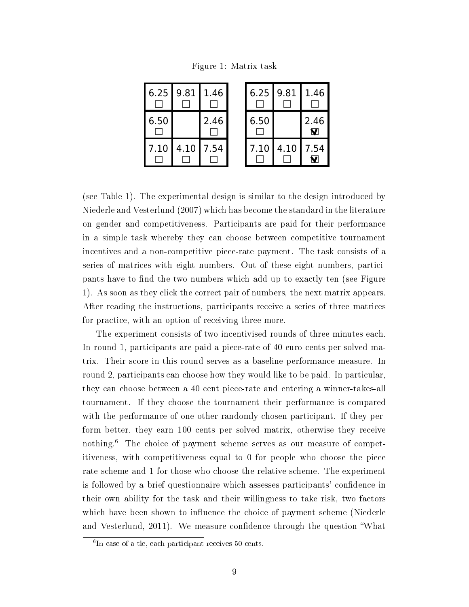Figure 1: Matrix task

| 6.25 | 9.81 | 1.46 |
|------|------|------|
| 6.50 |      | 2.46 |
| 7.10 | 4.10 | 7.54 |

| 6.25 | 9.81 | 1.46      |
|------|------|-----------|
| 6.50 |      | 2.46<br>П |
| 7.10 | 4.10 | 7.54      |

(see Table 1). The experimental design is similar to the design introduced by Niederle and Vesterlund (2007) which has become the standard in the literature on gender and competitiveness. Participants are paid for their performance in a simple task whereby they can choose between competitive tournament incentives and a non-competitive piece-rate payment. The task consists of a series of matrices with eight numbers. Out of these eight numbers, participants have to find the two numbers which add up to exactly ten (see Figure 1). As soon as they click the correct pair of numbers, the next matrix appears. After reading the instructions, participants receive a series of three matrices for practice, with an option of receiving three more.

The experiment consists of two incentivised rounds of three minutes each. In round 1, participants are paid a piece-rate of 40 euro cents per solved matrix. Their score in this round serves as a baseline performance measure. In round 2, participants can choose how they would like to be paid. In particular, they can choose between a 40 cent piece-rate and entering a winner-takes-all tournament. If they choose the tournament their performance is compared with the performance of one other randomly chosen participant. If they perform better, they earn 100 cents per solved matrix, otherwise they receive nothing.<sup>6</sup> The choice of payment scheme serves as our measure of competitiveness, with competitiveness equal to 0 for people who choose the piece rate scheme and 1 for those who choose the relative scheme. The experiment is followed by a brief questionnaire which assesses participants' condence in their own ability for the task and their willingness to take risk, two factors which have been shown to influence the choice of payment scheme (Niederle and Vesterlund, 2011). We measure confidence through the question "What

<sup>6</sup> In case of a tie, each participant receives 50 cents.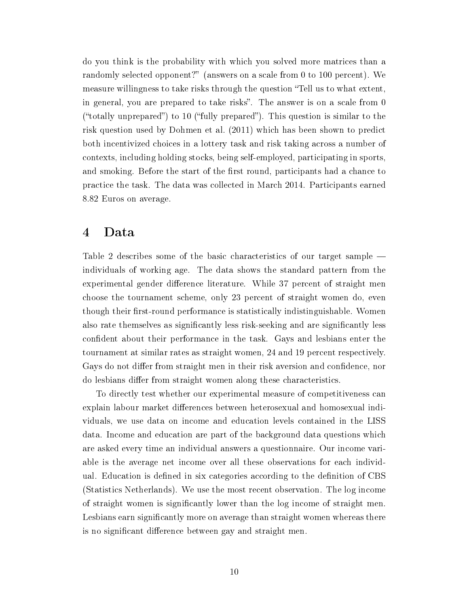do you think is the probability with which you solved more matrices than a randomly selected opponent?" (answers on a scale from 0 to 100 percent). We measure willingness to take risks through the question "Tell us to what extent, in general, you are prepared to take risks". The answer is on a scale from 0 ("totally unprepared") to 10 ("fully prepared"). This question is similar to the risk question used by Dohmen et al. (2011) which has been shown to predict both incentivized choices in a lottery task and risk taking across a number of contexts, including holding stocks, being self-employed, participating in sports, and smoking. Before the start of the first round, participants had a chance to practice the task. The data was collected in March 2014. Participants earned 8.82 Euros on average.

### 4 Data

Table 2 describes some of the basic characteristics of our target sample individuals of working age. The data shows the standard pattern from the experimental gender difference literature. While 37 percent of straight men choose the tournament scheme, only 23 percent of straight women do, even though their first-round performance is statistically indistinguishable. Women also rate themselves as signicantly less risk-seeking and are signicantly less confident about their performance in the task. Gays and lesbians enter the tournament at similar rates as straight women, 24 and 19 percent respectively. Gays do not differ from straight men in their risk aversion and confidence, nor do lesbians differ from straight women along these characteristics.

To directly test whether our experimental measure of competitiveness can explain labour market differences between heterosexual and homosexual individuals, we use data on income and education levels contained in the LISS data. Income and education are part of the background data questions which are asked every time an individual answers a questionnaire. Our income variable is the average net income over all these observations for each individual. Education is defined in six categories according to the definition of CBS (Statistics Netherlands). We use the most recent observation. The log income of straight women is signicantly lower than the log income of straight men. Lesbians earn significantly more on average than straight women whereas there is no significant difference between gay and straight men.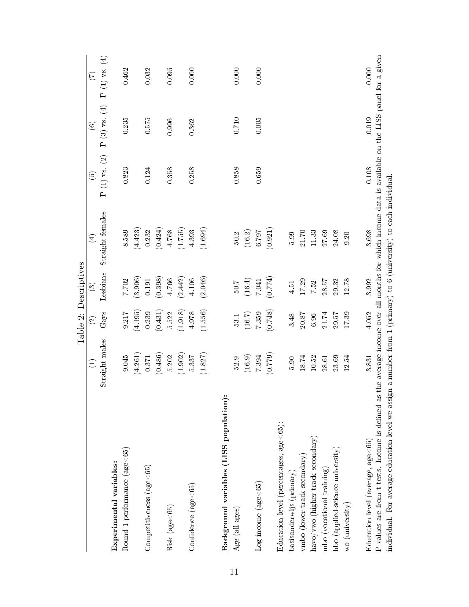|                                                                                                                                                     |                |                          | Table 2: Descriptives |                  |                          |                |                |
|-----------------------------------------------------------------------------------------------------------------------------------------------------|----------------|--------------------------|-----------------------|------------------|--------------------------|----------------|----------------|
|                                                                                                                                                     | $\bigoplus$    | $\widehat{\mathfrak{D}}$ | ව                     | $\bigoplus$      | $\widehat{\mathfrak{G}}$ | $\circledcirc$ | $\mathfrak{S}$ |
|                                                                                                                                                     | Straight males | $\rm Gas$                | Lesbians              | Straight females | $P(1)$ vs. $(2)$         | $P(3)$ vs. (4) | $P(1)$ vs. (4) |
| $\mathop{\text{Experiments}}$ variables:                                                                                                            |                |                          |                       |                  |                          |                |                |
| Round 1 performance $(age<65)$                                                                                                                      | 9.045          | $9.217$                  | 7.702                 | 8.589            | 0.823                    | 0.235          | 0.462          |
|                                                                                                                                                     | (4.261)        | (4.195)                  | (3.906)               | (4.423)          |                          |                |                |
| $\emph{Competitiveness}$ (age $<\negthinspace65)$                                                                                                   | 0.371          | 0.239                    | $0.191\,$             | 0.232            | 0.124                    | 0.575          | 0.032          |
|                                                                                                                                                     | (0.486)        | (0.431)                  | (0.398)               | (0.424)          |                          |                |                |
| $Risk$ (age<65)                                                                                                                                     | 5.202          | 5.522                    | 4.766                 | 4.768            | 0.358                    | 0.996          | 0.095          |
|                                                                                                                                                     | (1.902)        | (1.918)                  | (2.442)               | (1.755)          |                          |                |                |
| $\rm{Confidence}$ (age $<$ 65)                                                                                                                      | 5.337          | 4.978                    | 4.106                 | 4.393            | 0.258                    | 0.362          | 0.000          |
|                                                                                                                                                     | (1.827)        | (1.556)                  | (2.046)               | (1.694)          |                          |                |                |
| Background variables (LISS population)                                                                                                              |                |                          |                       |                  |                          |                |                |
| Age (all $\text{ages}$ )                                                                                                                            | 52.9           | 53.1                     | 50.7                  | $50.2\,$         | 0.858                    | $0.710\,$      | 0.000          |
|                                                                                                                                                     | (16.9)         | (16.7)                   | $(16.4)$              | (16.2)           |                          |                |                |
| $Log$ income $(age<65)$                                                                                                                             | 7.394          | 7.359                    | 7.041                 | 6.797            | 0.659                    | 0.005          | 0.000          |
|                                                                                                                                                     | (0.779)        | (0.748)                  | (0.774)               | (0.921)          |                          |                |                |
| Education level (percentages, $age < 65$ ):                                                                                                         |                |                          |                       |                  |                          |                |                |
| $\mathbf{bas}$ isonderwijs (primary)                                                                                                                | 5.90           | 3.48                     | $4.51\,$              | $5.99\,$         |                          |                |                |
| vmbo (lower track-secondary)                                                                                                                        | 18.74          | $20.87\,$                | 17.29                 | $21.70\,$        |                          |                |                |
| $\text{havo}/\text{vwo}$ (higher-track secondary)                                                                                                   | 10.52          | 6.96                     | $7.52\,$              | $11.33\,$        |                          |                |                |
| mbo (vocational training)                                                                                                                           | 28.61          | 21.74                    | 28.57                 | 27.69            |                          |                |                |
| hbo (applied-science university)                                                                                                                    | 23.69          | 29.57                    | 29.32                 | 24.08            |                          |                |                |
| wo (university)                                                                                                                                     | 12.54          | 17.39                    | 12.78                 | 9.20             |                          |                |                |
| Education level (average, $age < 65$ )                                                                                                              | 3.831          | 4.052                    | 3.992                 | 3.698            | $0.108\,$                | 0.019          | 0.000          |
| P-values are from t-tests. Income is defined as the average income over all months for which income data is available on the LISS panel for a given |                |                          |                       |                  |                          |                |                |
| individual. For average education level we assign a number from 1 (primary) to 6 (university) to each individual                                    |                |                          |                       |                  |                          |                |                |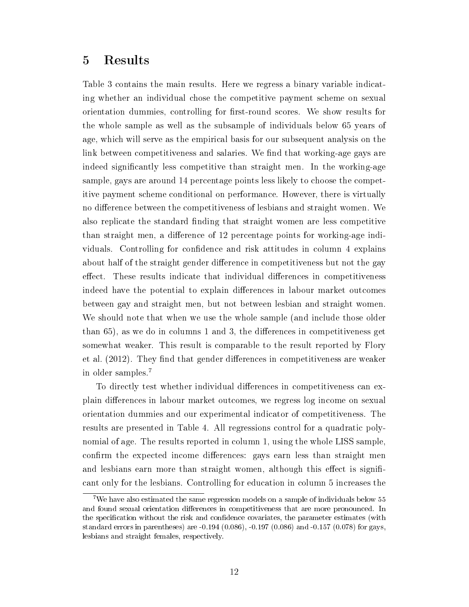### 5 Results

Table 3 contains the main results. Here we regress a binary variable indicating whether an individual chose the competitive payment scheme on sexual orientation dummies, controlling for first-round scores. We show results for the whole sample as well as the subsample of individuals below 65 years of age, which will serve as the empirical basis for our subsequent analysis on the link between competitiveness and salaries. We find that working-age gays are indeed signicantly less competitive than straight men. In the working-age sample, gays are around 14 percentage points less likely to choose the competitive payment scheme conditional on performance. However, there is virtually no difference between the competitiveness of lesbians and straight women. We also replicate the standard finding that straight women are less competitive than straight men, a difference of 12 percentage points for working-age individuals. Controlling for confidence and risk attitudes in column 4 explains about half of the straight gender difference in competitiveness but not the gay effect. These results indicate that individual differences in competitiveness indeed have the potential to explain differences in labour market outcomes between gay and straight men, but not between lesbian and straight women. We should note that when we use the whole sample (and include those older than  $65$ , as we do in columns 1 and 3, the differences in competitiveness get somewhat weaker. This result is comparable to the result reported by Flory et al. (2012). They find that gender differences in competitiveness are weaker in older samples.<sup>7</sup>

To directly test whether individual differences in competitiveness can explain differences in labour market outcomes, we regress log income on sexual orientation dummies and our experimental indicator of competitiveness. The results are presented in Table 4. All regressions control for a quadratic polynomial of age. The results reported in column 1, using the whole LISS sample, confirm the expected income differences: gays earn less than straight men and lesbians earn more than straight women, although this effect is significant only for the lesbians. Controlling for education in column 5 increases the

<sup>7</sup>We have also estimated the same regression models on a sample of individuals below 55 and found sexual orientation differences in competitiveness that are more pronounced. In the specification without the risk and confidence covariates, the parameter estimates (with standard errors in parentheses) are -0.194 (0.086), -0.197 (0.086) and -0.157 (0.078) for gays, lesbians and straight females, respectively.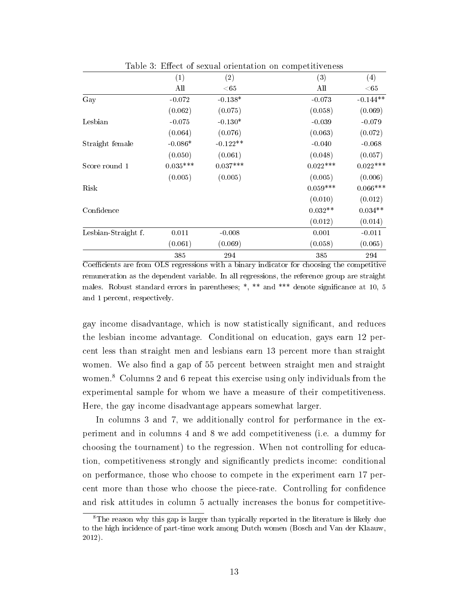|                     |            | Table 3: Effect of sexual orientation on competitiveness |            |            |
|---------------------|------------|----------------------------------------------------------|------------|------------|
|                     | (1)        | (2)                                                      | (3)        | (4)        |
|                     | All        | ${<}65$                                                  | All        | $<\!65$    |
| Gay                 | $-0.072$   | $-0.138*$                                                | $-0.073$   | $-0.144**$ |
|                     | (0.062)    | (0.075)                                                  | (0.058)    | (0.069)    |
| Lesbian             | $-0.075$   | $-0.130*$                                                | $-0.039$   | $-0.079$   |
|                     | (0.064)    | (0.076)                                                  | (0.063)    | (0.072)    |
| Straight female     | $-0.086*$  | $-0.122**$                                               | $-0.040$   | $-0.068$   |
|                     | (0.050)    | (0.061)                                                  | (0.048)    | (0.057)    |
| Score round 1       | $0.035***$ | $0.037***$                                               | $0.022***$ | $0.022***$ |
|                     | (0.005)    | (0.005)                                                  | (0.005)    | (0.006)    |
| Risk                |            |                                                          | $0.059***$ | $0.066***$ |
|                     |            |                                                          | (0.010)    | (0.012)    |
| Confidence          |            |                                                          | $0.032**$  | $0.034**$  |
|                     |            |                                                          | (0.012)    | (0.014)    |
| Lesbian-Straight f. | 0.011      | $-0.008$                                                 | 0.001      | $-0.011$   |
|                     | (0.061)    | (0.069)                                                  | (0.058)    | (0.065)    |
|                     | 385        | 294                                                      | 385        | 294        |

Coefficients are from OLS regressions with a binary indicator for choosing the competitive remuneration as the dependent variable. In all regressions, the reference group are straight males. Robust standard errors in parentheses; \*, \*\* and \*\*\* denote signicance at 10, 5 and 1 percent, respectively.

gay income disadvantage, which is now statistically signicant, and reduces the lesbian income advantage. Conditional on education, gays earn 12 percent less than straight men and lesbians earn 13 percent more than straight women. We also find a gap of 55 percent between straight men and straight women.<sup>8</sup> Columns 2 and 6 repeat this exercise using only individuals from the experimental sample for whom we have a measure of their competitiveness. Here, the gay income disadvantage appears somewhat larger.

In columns 3 and 7, we additionally control for performance in the experiment and in columns 4 and 8 we add competitiveness (i.e. a dummy for choosing the tournament) to the regression. When not controlling for education, competitiveness strongly and signicantly predicts income: conditional on performance, those who choose to compete in the experiment earn 17 percent more than those who choose the piece-rate. Controlling for condence and risk attitudes in column 5 actually increases the bonus for competitive-

<sup>8</sup>The reason why this gap is larger than typically reported in the literature is likely due to the high incidence of part-time work among Dutch women (Bosch and Van der Klaauw, 2012).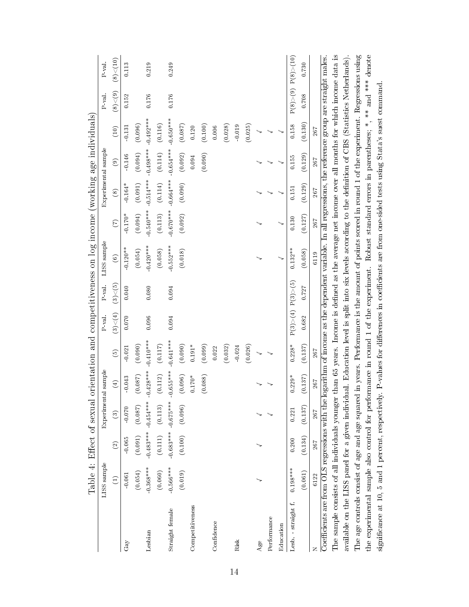|                                                                                                                                                           | Table 4: Effect of sexual |               |                     |                      |               |                       |              | orientation and competitiveness on log income (working age individuals)                                    |             |             |                     |             |              |                        |
|-----------------------------------------------------------------------------------------------------------------------------------------------------------|---------------------------|---------------|---------------------|----------------------|---------------|-----------------------|--------------|------------------------------------------------------------------------------------------------------------|-------------|-------------|---------------------|-------------|--------------|------------------------|
|                                                                                                                                                           | LISS sample               |               | Experimental sample |                      |               | P val.                | P val.       | LISS sample                                                                                                |             |             | Experimental sample |             | P val.       | P val.                 |
|                                                                                                                                                           | $\widehat{\Xi}$           | $\widehat{c}$ | $\widehat{c}$       | $\left( \pm \right)$ | $\widehat{5}$ | (3) < (4)             | $(3){<}$ (5) | $\odot$                                                                                                    | (7)         | $\circledS$ | $\widehat{e}$       | (10)        | $(8){<}$ (9) | $(8){<}{}(10)$         |
| $\rm GaV$                                                                                                                                                 | $-0.061$                  | 0.065         | $-0.070$            | $-0.043$             | $-0.021$      | 0.070                 | 0.040        | $-0.120**$                                                                                                 | $-0.170*$   | $-0.164*$   | $-0.146$            | $-0.131$    | 0.152        | 0.113                  |
|                                                                                                                                                           | (0.054)                   | (0.091)       | (0.087)             | $(0.087)$            | (0.090)       |                       |              | (0.054)                                                                                                    | (0.094)     | (0.091)     | (0.094)             | (0.096)     |              |                        |
| Lesbian                                                                                                                                                   | $-0.368***$               |               | $0.483***0.454***$  | $-0.428***$          | $-0.410***$   | 0.096                 | 0.080        | $0.420***$                                                                                                 | $0.540***$  | $-0.514***$ | $0.498***$          | $-0.492***$ | 0.176        | 0.219                  |
|                                                                                                                                                           | (0.060)                   | (0.111)       | (0.113)             | $\left(0.112\right)$ | $(0.117)$     |                       |              | (0.058)                                                                                                    | (0.113)     | (0.114)     | (0.114)             | (0.116)     |              |                        |
| Straight female                                                                                                                                           | $-0.566***$               |               | $0.683***0.675***$  | $0.655***$           | $0.641***$    | 0.094                 | 0.094        | $0.552***$                                                                                                 | $-0.670***$ | $-0.664***$ | $0.654***$          | $-0.650***$ | 0.176        | 0.249                  |
|                                                                                                                                                           | (0.019)                   | (0.100)       | (0.096)             | (0.096)              | (0.090)       |                       |              | (0.018)                                                                                                    | (0.092)     | (0.090)     | (0.092)             | (0.087)     |              |                        |
| Competitiveness                                                                                                                                           |                           |               |                     | $0.170^{*}$          | $0.191*$      |                       |              |                                                                                                            |             |             | 0.094               | 0.120       |              |                        |
|                                                                                                                                                           |                           |               |                     | (0.088)              | (0.099)       |                       |              |                                                                                                            |             |             | (0.090)             | (0.100)     |              |                        |
| Confidence                                                                                                                                                |                           |               |                     |                      | 0.022         |                       |              |                                                                                                            |             |             |                     | 0.006       |              |                        |
|                                                                                                                                                           |                           |               |                     |                      | (0.032)       |                       |              |                                                                                                            |             |             |                     | (0.028)     |              |                        |
| Risk                                                                                                                                                      |                           |               |                     |                      | $-0.024$      |                       |              |                                                                                                            |             |             |                     | $-0.019$    |              |                        |
|                                                                                                                                                           |                           |               |                     |                      | (0.026)       |                       |              |                                                                                                            |             |             |                     | (0.025)     |              |                        |
| Age                                                                                                                                                       |                           |               |                     |                      |               |                       |              |                                                                                                            |             |             |                     |             |              |                        |
| Performance                                                                                                                                               |                           |               |                     |                      |               |                       |              |                                                                                                            |             |             |                     |             |              |                        |
| Education                                                                                                                                                 |                           |               |                     |                      |               |                       |              |                                                                                                            |             |             |                     |             |              |                        |
| Lesb. straight f.                                                                                                                                         | $0.198***$                | 0.200         | 0.221               | $0.229*$             | $0.228*$      | P(3) > (4) P(3) > (5) |              | $0.132**$                                                                                                  | 0.130       | 0.151       | 0.155               | 0.158       |              | P(8) > (9) P(8) > (10) |
|                                                                                                                                                           | (0.061)                   | (0.134)       | (0.137)             | (0.137)              | (0.137)       | 0.682                 | 0.727        | (0.058)                                                                                                    | (0.127)     | (0.129)     | (0.129)             | (0.130)     | 0.708        | 0.730                  |
|                                                                                                                                                           | 6122                      | $267\,$       | 267                 | $267\,$              | 267           |                       |              | 6119                                                                                                       | 267         | 267         | 267                 | 267         |              |                        |
| Coefficients are from OLS regressions with the                                                                                                            |                           |               |                     |                      |               |                       |              | logarithm of income as the dependent variable. In all regressions, the reference group are straight males. |             |             |                     |             |              |                        |
| The sample consists of all individuals younger than 65 years. Income is defined as the average net income over all months for which income data is        |                           |               |                     |                      |               |                       |              |                                                                                                            |             |             |                     |             |              |                        |
| available on the LISS panel for a given individual. Education level is split into six levels according to the definition of CBS (Statistics Netherlands). |                           |               |                     |                      |               |                       |              |                                                                                                            |             |             |                     |             |              |                        |
| The age controls consist of age and age squared in years. Performance is the amount of points scored in round 1 of the experiment. Regressions using      |                           |               |                     |                      |               |                       |              |                                                                                                            |             |             |                     |             |              |                        |
| the experimental sample also control for performance in round 1 of the experiment. Robust standard errors in parentheses; *, ** and *** denote            |                           |               |                     |                      |               |                       |              |                                                                                                            |             |             |                     |             |              |                        |
| significance at 10, 5 and 1 percent, respectively. P-values for differences in coefficients are from one-sided tests using Stata's suest command.         |                           |               |                     |                      |               |                       |              |                                                                                                            |             |             |                     |             |              |                        |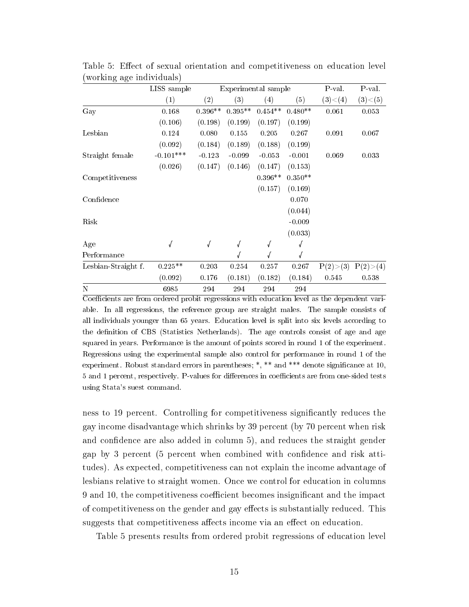|                     | LISS sample |           |            | Experimental sample |            | P-val.     | P val.     |
|---------------------|-------------|-----------|------------|---------------------|------------|------------|------------|
|                     | (1)         | (2)       | (3)        | (4)                 | (5)        | (3) < (4)  | (3) < (5)  |
| Gay                 | 0.168       | $0.396**$ | $0.395**$  | $0.454**$           | $0.480**$  | 0.061      | 0.053      |
|                     | (0.106)     | (0.198)   | (0.199)    | (0.197)             | (0.199)    |            |            |
| Lesbian             | 0.124       | 0.080     | 0.155      | 0.205               | 0.267      | 0.091      | 0.067      |
|                     | (0.092)     | (0.184)   | (0.189)    | (0.188)             | (0.199)    |            |            |
| Straight female     | $-0.101***$ | $-0.123$  | $-0.099$   | $-0.053$            | $-0.001$   | 0.069      | 0.033      |
|                     | (0.026)     | (0.147)   | (0.146)    | (0.147)             | (0.153)    |            |            |
| Competitiveness     |             |           |            | $0.396**$           | $0.350**$  |            |            |
|                     |             |           |            | (0.157)             | (0.169)    |            |            |
| Confidence          |             |           |            |                     | 0.070      |            |            |
|                     |             |           |            |                     | (0.044)    |            |            |
| Risk                |             |           |            |                     | $-0.009$   |            |            |
|                     |             |           |            |                     | (0.033)    |            |            |
| Age                 | $\sqrt{ }$  | √         | $\sqrt{ }$ | √                   | $\sqrt{ }$ |            |            |
| Performance         |             |           |            |                     |            |            |            |
| Lesbian-Straight f. | $0.225**$   | 0.203     | 0.254      | 0.257               | 0.267      | P(2) > (3) | P(2) > (4) |
|                     | (0.092)     | 0.176     | (0.181)    | (0.182)             | (0.184)    | 0.545      | 0.538      |
| N                   | 6985        | 294       | 294        | 294                 | 294        |            |            |

Table 5: Effect of sexual orientation and competitiveness on education level (working age individuals)

Coefficients are from ordered probit regressions with education level as the dependent variable. In all regressions, the reference group are straight males. The sample consists of all individuals younger than 65 years. Education level is split into six levels according to the definition of CBS (Statistics Netherlands). The age controls consist of age and age squared in years. Performance is the amount of points scored in round 1 of the experiment. Regressions using the experimental sample also control for performance in round 1 of the experiment. Robust standard errors in parentheses; \*, \*\* and \*\*\* denote significance at 10, 5 and 1 percent, respectively. P-values for differences in coefficients are from one-sided tests using Stata's suest command.

ness to 19 percent. Controlling for competitiveness signicantly reduces the gay income disadvantage which shrinks by 39 percent (by 70 percent when risk and confidence are also added in column 5), and reduces the straight gender gap by 3 percent (5 percent when combined with confidence and risk attitudes). As expected, competitiveness can not explain the income advantage of lesbians relative to straight women. Once we control for education in columns 9 and 10, the competitiveness coefficient becomes insignificant and the impact of competitiveness on the gender and gay effects is substantially reduced. This suggests that competitiveness affects income via an effect on education.

Table 5 presents results from ordered probit regressions of education level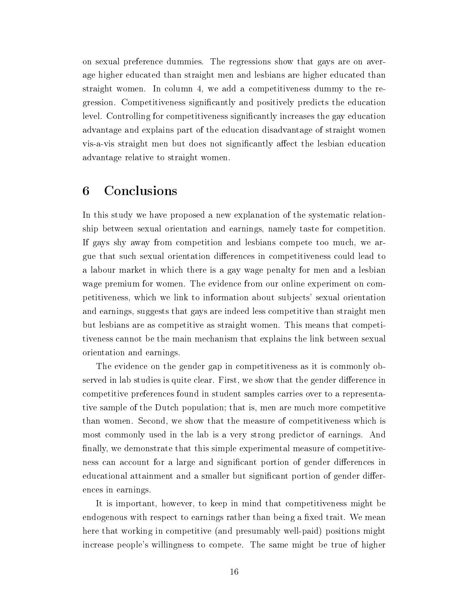on sexual preference dummies. The regressions show that gays are on average higher educated than straight men and lesbians are higher educated than straight women. In column 4, we add a competitiveness dummy to the regression. Competitiveness signicantly and positively predicts the education level. Controlling for competitiveness signicantly increases the gay education advantage and explains part of the education disadvantage of straight women vis-a-vis straight men but does not significantly affect the lesbian education advantage relative to straight women.

# 6 Conclusions

In this study we have proposed a new explanation of the systematic relationship between sexual orientation and earnings, namely taste for competition. If gays shy away from competition and lesbians compete too much, we argue that such sexual orientation differences in competitiveness could lead to a labour market in which there is a gay wage penalty for men and a lesbian wage premium for women. The evidence from our online experiment on competitiveness, which we link to information about subjects' sexual orientation and earnings, suggests that gays are indeed less competitive than straight men but lesbians are as competitive as straight women. This means that competitiveness cannot be the main mechanism that explains the link between sexual orientation and earnings.

The evidence on the gender gap in competitiveness as it is commonly observed in lab studies is quite clear. First, we show that the gender difference in competitive preferences found in student samples carries over to a representative sample of the Dutch population; that is, men are much more competitive than women. Second, we show that the measure of competitiveness which is most commonly used in the lab is a very strong predictor of earnings. And finally, we demonstrate that this simple experimental measure of competitiveness can account for a large and significant portion of gender differences in educational attainment and a smaller but significant portion of gender differences in earnings.

It is important, however, to keep in mind that competitiveness might be endogenous with respect to earnings rather than being a fixed trait. We mean here that working in competitive (and presumably well-paid) positions might increase people's willingness to compete. The same might be true of higher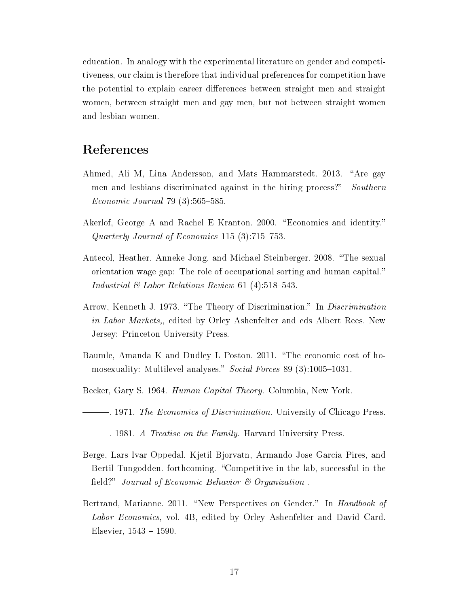education. In analogy with the experimental literature on gender and competitiveness, our claim is therefore that individual preferences for competition have the potential to explain career differences between straight men and straight women, between straight men and gay men, but not between straight women and lesbian women.

# References

- Ahmed, Ali M, Lina Andersson, and Mats Hammarstedt. 2013. "Are gay men and lesbians discriminated against in the hiring process?" Southern  $Economic\ Journal\ 79\ (3):565-585.$
- Akerlof, George A and Rachel E Kranton. 2000. "Economics and identity." Quarterly Journal of Economics 115  $(3)$ :715-753.
- Antecol, Heather, Anneke Jong, and Michael Steinberger. 2008. "The sexual orientation wage gap: The role of occupational sorting and human capital. Industrial  $\mathcal B$  Labor Relations Review 61 (4):518-543.
- Arrow, Kenneth J. 1973. "The Theory of Discrimination." In *Discrimination* in Labor Markets,, edited by Orley Ashenfelter and eds Albert Rees. New Jersey: Princeton University Press.
- Baumle, Amanda K and Dudley L Poston. 2011. "The economic cost of homosexuality: Multilevel analyses." Social Forces 89 (3):1005-1031.
- Becker, Gary S. 1964. *Human Capital Theory*. Columbia, New York.
- 1971. The Economics of Discrimination. University of Chicago Press.
- . 1981. A Treatise on the Family. Harvard University Press.
- Berge, Lars Ivar Oppedal, Kjetil Bjorvatn, Armando Jose Garcia Pires, and Bertil Tungodden. forthcoming. "Competitive in the lab, successful in the field?" Journal of Economic Behavior  $\mathcal B$  Organization.
- Bertrand, Marianne. 2011. "New Perspectives on Gender." In *Handbook of* Labor Economics, vol. 4B, edited by Orley Ashenfelter and David Card. Elsevier,  $1543 - 1590$ .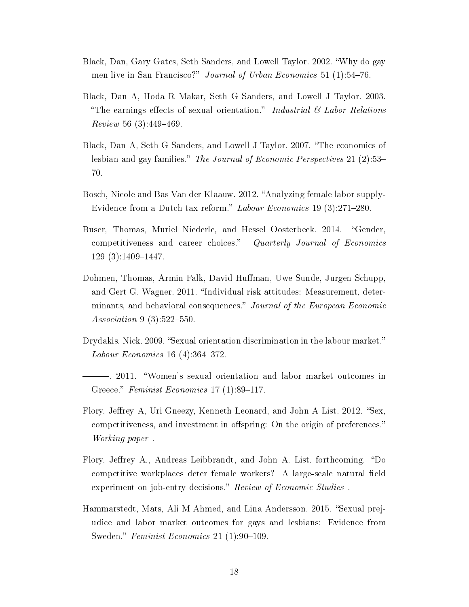- Black, Dan, Gary Gates, Seth Sanders, and Lowell Taylor. 2002. Why do gay men live in San Francisco?" Journal of Urban Economics 51 (1):54-76.
- Black, Dan A, Hoda R Makar, Seth G Sanders, and Lowell J Taylor. 2003. "The earnings effects of sexual orientation." Industrial  $\mathcal C$  Labor Relations  $Review 56 (3):449-469.$
- Black, Dan A, Seth G Sanders, and Lowell J Taylor. 2007. The economics of lesbian and gay families." The Journal of Economic Perspectives 21 (2):53-70.
- Bosch, Nicole and Bas Van der Klaauw. 2012. Analyzing female labor supply-Evidence from a Dutch tax reform." Labour Economics 19  $(3)$ :271–280.
- Buser, Thomas, Muriel Niederle, and Hessel Oosterbeek. 2014. "Gender, competitiveness and career choices." Quarterly Journal of Economics  $129(3):1409-1447.$
- Dohmen, Thomas, Armin Falk, David Human, Uwe Sunde, Jurgen Schupp, and Gert G. Wagner. 2011. "Individual risk attitudes: Measurement, determinants, and behavioral consequences." Journal of the European Economic Association 9  $(3):522-550$ .
- Drydakis, Nick. 2009. "Sexual orientation discrimination in the labour market." *Labour Economics* 16  $(4)$ :364-372.
- . 2011. Women's sexual orientation and labor market outcomes in Greece." Feminist Economics 17  $(1)$ :89-117.
- Flory, Jeffrey A, Uri Gneezy, Kenneth Leonard, and John A List. 2012. "Sex, competitiveness, and investment in offspring: On the origin of preferences." Working paper .
- Flory, Jeffrey A., Andreas Leibbrandt, and John A. List. forthcoming. "Do competitive workplaces deter female workers? A large-scale natural field experiment on job-entry decisions." Review of Economic Studies.
- Hammarstedt, Mats, Ali M Ahmed, and Lina Andersson. 2015. "Sexual prejudice and labor market outcomes for gays and lesbians: Evidence from Sweden." Feminist Economics 21  $(1)$ :90-109.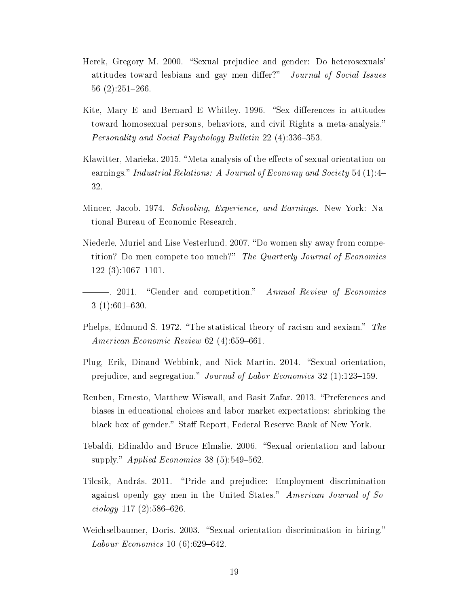- Herek, Gregory M. 2000. "Sexual prejudice and gender: Do heterosexuals' attitudes toward lesbians and gay men differ?" Journal of Social Issues  $56(2):251-266.$
- Kite, Mary E and Bernard E Whitley. 1996. "Sex differences in attitudes toward homosexual persons, behaviors, and civil Rights a meta-analysis. Personality and Social Psychology Bulletin 22 (4):336-353.
- Klawitter, Marieka. 2015. "Meta-analysis of the effects of sexual orientation on earnings." Industrial Relations: A Journal of Economy and Society 54  $(1)$ :4-32.
- Mincer, Jacob. 1974. Schooling, Experience, and Earnings. New York: National Bureau of Economic Research.
- Niederle, Muriel and Lise Vesterlund. 2007. "Do women shy away from competition? Do men compete too much?" The Quarterly Journal of Economics  $122(3):1067-1101.$
- $-$ . 2011. "Gender and competition." Annual Review of Economics  $3(1):601-630.$
- Phelps, Edmund S. 1972. "The statistical theory of racism and sexism." The American Economic Review  $62$  (4):659-661.
- Plug, Erik, Dinand Webbink, and Nick Martin. 2014. "Sexual orientation, prejudice, and segregation." Journal of Labor Economics 32 (1):123–159.
- Reuben, Ernesto, Matthew Wiswall, and Basit Zafar. 2013. "Preferences and biases in educational choices and labor market expectations: shrinking the black box of gender." Staff Report, Federal Reserve Bank of New York.
- Tebaldi, Edinaldo and Bruce Elmslie. 2006. "Sexual orientation and labour supply." Applied Economics 38 (5):549-562.
- Tilcsik, András. 2011. "Pride and prejudice: Employment discrimination against openly gay men in the United States." American Journal of So- $\{i\in\{c\}}\ 117$  (2):586-626.
- Weichselbaumer, Doris. 2003. "Sexual orientation discrimination in hiring." *Labour Economics* 10  $(6)$ :629–642.